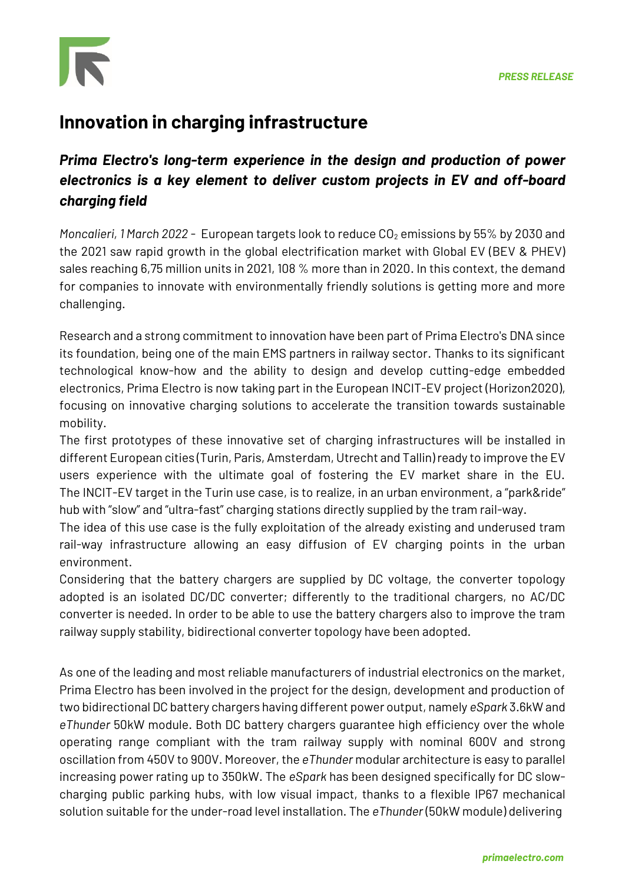

## **Innovation in charging infrastructure**

## *Prima Electro's long-term experience in the design and production of power electronics is a key element to deliver custom projects in EV and off-board charging field*

*Moncalieri,* 1 March 2022 - European targets look to reduce CO<sub>2</sub> emissions by 55% by 2030 and the 2021 saw rapid growth in the global electrification market with Global EV (BEV & PHEV) sales reaching 6,75 million units in 2021, 108 % more than in 2020. In this context, the demand for companies to innovate with environmentally friendly solutions is getting more and more challenging.

Research and a strong commitment to innovation have been part of Prima Electro's DNA since its foundation, being one of the main EMS partners in railway sector. Thanks to its significant technological know-how and the ability to design and develop cutting-edge embedded electronics, Prima Electro is now taking part in the European INCIT-EV project (Horizon2020), focusing on innovative charging solutions to accelerate the transition towards sustainable mobility.

The first prototypes of these innovative set of charging infrastructures will be installed in different European cities (Turin, Paris, Amsterdam, Utrecht and Tallin) ready to improve the EV users experience with the ultimate goal of fostering the EV market share in the EU. The INCIT-EV target in the Turin use case, is to realize, in an urban environment, a "park&ride" hub with "slow" and "ultra-fast" charging stations directly supplied by the tram rail-way.

The idea of this use case is the fully exploitation of the already existing and underused tram rail-way infrastructure allowing an easy diffusion of EV charging points in the urban environment.

Considering that the battery chargers are supplied by DC voltage, the converter topology adopted is an isolated DC/DC converter; differently to the traditional chargers, no AC/DC converter is needed. In order to be able to use the battery chargers also to improve the tram railway supply stability, bidirectional converter topology have been adopted.

As one of the leading and most reliable manufacturers of industrial electronics on the market, Prima Electro has been involved in the project for the design, development and production of two bidirectional DC battery chargers having different power output, namely *eSpark* 3.6kW and *eThunder* 50kW module. Both DC battery chargers guarantee high efficiency over the whole operating range compliant with the tram railway supply with nominal 600V and strong oscillation from 450V to 900V. Moreover, the *eThunder* modular architecture is easy to parallel increasing power rating up to 350kW. The *eSpark* has been designed specifically for DC slowcharging public parking hubs, with low visual impact, thanks to a flexible IP67 mechanical solution suitable for the under-road level installation. The *eThunder* (50kW module) delivering